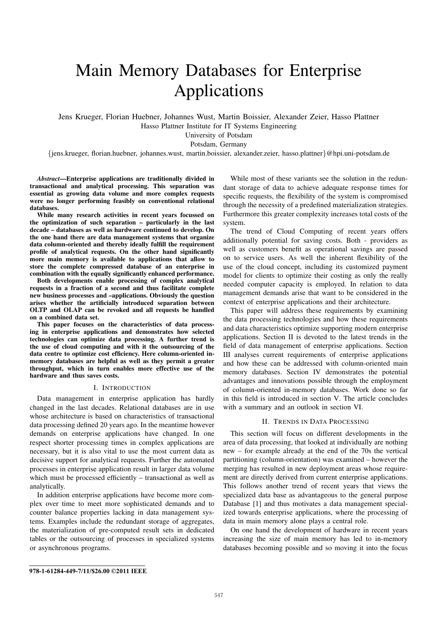# Main Memory Databases for Enterprise Applications

Jens Krueger, Florian Huebner, Johannes Wust, Martin Boissier, Alexander Zeier, Hasso Plattner Hasso Plattner Institute for IT Systems Engineering

University of Potsdam

Potsdam, Germany

*{*jens.krueger, florian.huebner, johannes.wust, martin.boissier, alexander.zeier, hasso.plattner*}*@hpi.uni-potsdam.de

*Abstract*—Enterprise applications are traditionally divided in transactional and analytical processing. This separation was essential as growing data volume and more complex requests were no longer performing feasibly on conventional relational databases.

While many research activities in recent years focussed on the optimization of such separation – particularly in the last decade – databases as well as hardware continued to develop. On the one hand there are data management systems that organize data column-oriented and thereby ideally fulfill the requirement profile of analytical requests. On the other hand significantly more main memory is available to applications that allow to store the complete compressed database of an enterprise in combination with the equally significantly enhanced performance.

Both developments enable processing of complex analytical requests in a fraction of a second and thus facilitate complete new business processes and –applications. Obviously the question arises whether the artificially introduced separation between OLTP and OLAP can be revoked and all requests be handled on a combined data set.

This paper focuses on the characteristics of data processing in enterprise applications and demonstrates how selected technologies can optimize data processing. A further trend is the use of cloud computing and with it the outsourcing of the data centre to optimize cost efficiency. Here column-oriented inmemory databases are helpful as well as they permit a greater throughput, which in turn enables more effective use of the hardware and thus saves costs.

#### I. INTRODUCTION

Data management in enterprise application has hardly changed in the last decades. Relational databases are in use whose architecture is based on characteristics of transactional data processing defined 20 years ago. In the meantime however demands on enterprise applications have changed. In one respect shorter processing times in complex applications are necessary, but it is also vital to use the most current data as decisive support for analytical requests. Further the automated processes in enterprise application result in larger data volume which must be processed efficiently – transactional as well as analytically.

In addition enterprise applications have become more complex over time to meet more sophisticated demands and to counter balance properties lacking in data management systems. Examples include the redundant storage of aggregates, the materialization of pre-computed result sets in dedicated tables or the outsourcing of processes in specialized systems or asynchronous programs.

While most of these variants see the solution in the redundant storage of data to achieve adequate response times for specific requests, the flexibility of the system is compromised through the necessity of a predefined materialization strategies. Furthermore this greater complexity increases total costs of the system.

The trend of Cloud Computing of recent years offers additionally potential for saving costs. Both - providers as well as customers benefit as operational savings are passed on to service users. As well the inherent flexibility of the use of the cloud concept, including its customized payment model for clients to optimize their costing as only the really needed computer capacity is employed. In relation to data management demands arise that want to be considered in the context of enterprise applications and their architecture.

This paper will address these requirements by examining the data processing technologies and how these requirements and data characteristics optimize supporting modern enterprise applications. Section II is devoted to the latest trends in the field of data management of enterprise applications. Section III analyses current requirements of enterprise applications and how these can be addressed with column-oriented main memory databases. Section IV demonstrates the potential advantages and innovations possible through the employment of column-oriented in-memory databases. Work done so far in this field is introduced in section V. The article concludes with a summary and an outlook in section VI.

#### II. TRENDS IN DATA PROCESSING

This section will focus on different developments in the area of data processing, that looked at individually are nothing new – for example already at the end of the 70s the vertical partitioning (column-orientation) was examined – however the merging has resulted in new deployment areas whose requirement are directly derived from current enterprise applications. This follows another trend of recent years that views the specialized data base as advantageous to the general purpose Database [1] and thus motivates a data management specialized towards enterprise applications, where the processing of data in main memory alone plays a central role.

On one hand the development of hardware in recent years increasing the size of main memory has led to in-memory databases becoming possible and so moving it into the focus

**\_\_\_\_\_\_\_\_\_\_\_\_\_\_\_\_\_\_\_\_\_\_\_\_\_\_\_\_\_\_\_\_\_\_\_ 978-1-61284-449-7/11/\$26.00 ©2011 IEEE**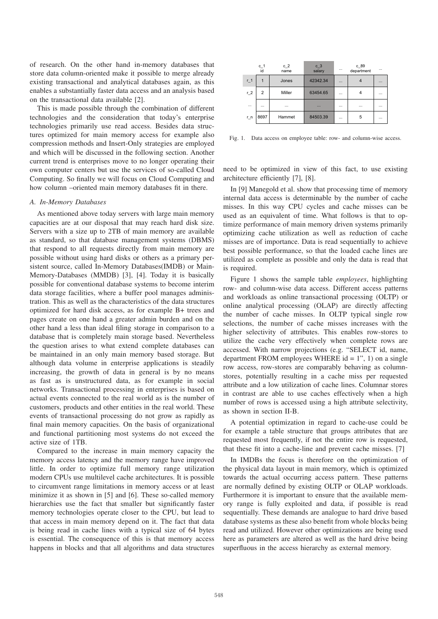of research. On the other hand in-memory databases that store data column-oriented make it possible to merge already existing transactional and analytical databases again, as this enables a substantially faster data access and an analysis based on the transactional data available [2].

This is made possible through the combination of different technologies and the consideration that today's enterprise technologies primarily use read access. Besides data structures optimized for main memory access for example also compression methods and Insert-Only strategies are employed and which will be discussed in the following section. Another current trend is enterprises move to no longer operating their own computer centers but use the services of so-called Cloud Computing. So finally we will focus on Cloud Computing and how column –oriented main memory databases fit in there.

#### *A. In-Memory Databases*

As mentioned above today servers with large main memory capacities are at our disposal that may reach hard disk size. Servers with a size up to 2TB of main memory are available as standard, so that database management systems (DBMS) that respond to all requests directly from main memory are possible without using hard disks or others as a primary persistent source, called In-Memory Databases(IMDB) or Main-Memory-Databases (MMDB) [3], [4]. Today it is basically possible for conventional database systems to become interim data storage facilities, where a buffer pool manages administration. This as well as the characteristics of the data structures optimized for hard disk access, as for example B+ trees and pages create on one hand a greater admin burden and on the other hand a less than ideal filing storage in comparison to a database that is completely main storage based. Nevertheless the question arises to what extend complete databases can be maintained in an only main memory based storage. But although data volume in enterprise applications is steadily increasing, the growth of data in general is by no means as fast as is unstructured data, as for example in social networks. Transactional processing in enterprises is based on actual events connected to the real world as is the number of customers, products and other entities in the real world. These events of transactional processing do not grow as rapidly as final main memory capacities. On the basis of organizational and functional partitioning most systems do not exceed the active size of 1TB.

Compared to the increase in main memory capacity the memory access latency and the memory range have improved little. In order to optimize full memory range utilization modern CPUs use multilevel cache architectures. It is possible to circumvent range limitations in memory access or at least minimize it as shown in [5] and [6]. These so-called memory hierarchies use the fact that smaller but significantly faster memory technologies operate closer to the CPU, but lead to that access in main memory depend on it. The fact that data is being read in cache lines with a typical size of 64 bytes is essential. The consequence of this is that memory access happens in blocks and that all algorithms and data structures

|          | $\frac{c}{id}$ 1 | c <sub>2</sub><br>name | $c_3$<br>salary | $\cdots$ | $c_89$<br>department | $\cdots$ |
|----------|------------------|------------------------|-----------------|----------|----------------------|----------|
| $r_1$    | 1                | Jones                  | 42342.34        | $\cdots$ |                      | $\cdots$ |
| $r_2$    | $\overline{2}$   | Miller                 | 63454.65        | $\cdots$ |                      |          |
| $\cdots$ | $\cdots$         | $\cdots$               | $\cdots$        | $\cdots$ | $\cdots$             |          |
| $r_n$    | 8697             | Hammet                 | 84503.39        | $\cdots$ | 5                    |          |

Fig. 1. Data access on employee table: row- and column-wise access.

need to be optimized in view of this fact, to use existing architecture efficiently [7], [8].

In [9] Manegold et al. show that processing time of memory internal data access is determinable by the number of cache misses. In this way CPU cycles and cache misses can be used as an equivalent of time. What follows is that to optimize performance of main memory driven systems primarily optimizing cache utilization as well as reduction of cache misses are of importance. Data is read sequentially to achieve best possible performance, so that the loaded cache lines are utilized as complete as possible and only the data is read that is required.

Figure 1 shows the sample table *employees*, highlighting row- and column-wise data access. Different access patterns and workloads as online transactional processing (OLTP) or online analytical processing (OLAP) are directly affecting the number of cache misses. In OLTP typical single row selections, the number of cache misses increases with the higher selectivity of attributes. This enables row-stores to utilize the cache very effectively when complete rows are accessed. With narrow projections (e.g. "SELECT id, name, department FROM employees WHERE  $id = 1$ ", 1) on a single row access, row-stores are comparably behaving as columnstores, potentially resulting in a cache miss per requested attribute and a low utilization of cache lines. Columnar stores in contrast are able to use caches effectively when a high number of rows is accessed using a high attribute selectivity, as shown in section II-B.

A potential optimization in regard to cache-use could be for example a table structure that groups attributes that are requested most frequently, if not the entire row is requested, that these fit into a cache-line and prevent cache misses. [7]

In IMDBs the focus is therefore on the optimization of the physical data layout in main memory, which is optimized towards the actual occurring access pattern. These patterns are normally defined by existing OLTP or OLAP workloads. Furthermore it is important to ensure that the available memory range is fully exploited and data, if possible is read sequentially. These demands are analogue to hard drive based database systems as these also benefit from whole blocks being read and utilized. However other optimizations are being used here as parameters are altered as well as the hard drive being superfluous in the access hierarchy as external memory.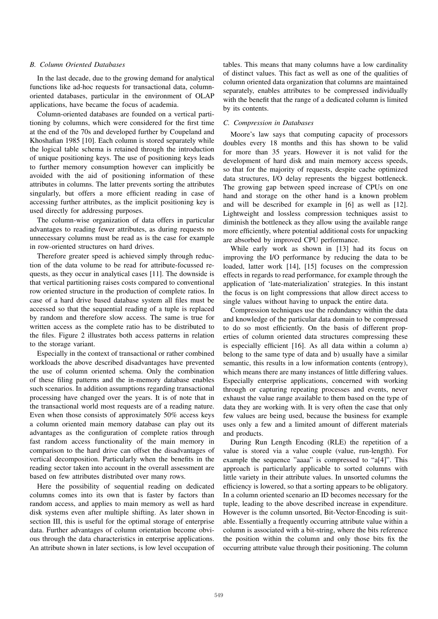## *B. Column Oriented Databases*

In the last decade, due to the growing demand for analytical functions like ad-hoc requests for transactional data, columnoriented databases, particular in the environment of OLAP applications, have became the focus of academia.

Column-oriented databases are founded on a vertical partitioning by columns, which were considered for the first time at the end of the 70s and developed further by Coupeland and Khoshafian 1985 [10]. Each column is stored separately while the logical table schema is retained through the introduction of unique positioning keys. The use of positioning keys leads to further memory consumption however can implicitly be avoided with the aid of positioning information of these attributes in columns. The latter prevents sorting the attributes singularly, but offers a more efficient reading in case of accessing further attributes, as the implicit positioning key is used directly for addressing purposes.

The column-wise organization of data offers in particular advantages to reading fewer attributes, as during requests no unnecessary columns must be read as is the case for example in row-oriented structures on hard drives.

Therefore greater speed is achieved simply through reduction of the data volume to be read for attribute-focussed requests, as they occur in analytical cases [11]. The downside is that vertical partitioning raises costs compared to conventional row oriented structure in the production of complete ratios. In case of a hard drive based database system all files must be accessed so that the sequential reading of a tuple is replaced by random and therefore slow access. The same is true for written access as the complete ratio has to be distributed to the files. Figure 2 illustrates both access patterns in relation to the storage variant.

Especially in the context of transactional or rather combined workloads the above described disadvantages have prevented the use of column oriented schema. Only the combination of these filing patterns and the in-memory database enables such scenarios. In addition assumptions regarding transactional processing have changed over the years. It is of note that in the transactional world most requests are of a reading nature. Even when those consists of approximately 50% access keys a column oriented main memory database can play out its advantages as the configuration of complete ratios through fast random access functionality of the main memory in comparison to the hard drive can offset the disadvantages of vertical decomposition. Particularly when the benefits in the reading sector taken into account in the overall assessment are based on few attributes distributed over many rows.

Here the possibility of sequential reading on dedicated columns comes into its own that is faster by factors than random access, and applies to main memory as well as hard disk systems even after multiple shifting. As later shown in section III, this is useful for the optimal storage of enterprise data. Further advantages of column orientation become obvious through the data characteristics in enterprise applications. An attribute shown in later sections, is low level occupation of tables. This means that many columns have a low cardinality of distinct values. This fact as well as one of the qualities of column oriented data organization that columns are maintained separately, enables attributes to be compressed individually with the benefit that the range of a dedicated column is limited by its contents.

## *C. Compression in Databases*

Moore's law says that computing capacity of processors doubles every 18 months and this has shown to be valid for more than 35 years. However it is not valid for the development of hard disk and main memory access speeds, so that for the majority of requests, despite cache optimized data structures, I/O delay represents the biggest bottleneck. The growing gap between speed increase of CPUs on one hand and storage on the other hand is a known problem and will be described for example in [6] as well as [12]. Lightweight and lossless compression techniques assist to diminish the bottleneck as they allow using the available range more efficiently, where potential additional costs for unpacking are absorbed by improved CPU performance.

While early work as shown in [13] had its focus on improving the I/O performance by reducing the data to be loaded, latter work [14], [15] focuses on the compression effects in regards to read performance, for example through the application of 'late-materialization' strategies. In this instant the focus is on light compressions that allow direct access to single values without having to unpack the entire data.

Compression techniques use the redundancy within the data and knowledge of the particular data domain to be compressed to do so most efficiently. On the basis of different properties of column oriented data structures compressing these is especially efficient [16]. As all data within a column a) belong to the same type of data and b) usually have a similar semantic, this results in a low information contents (entropy), which means there are many instances of little differing values. Especially enterprise applications, concerned with working through or capturing repeating processes and events, never exhaust the value range available to them based on the type of data they are working with. It is very often the case that only few values are being used, because the business for example uses only a few and a limited amount of different materials and products.

During Run Length Encoding (RLE) the repetition of a value is stored via a value couple (value, run-length). For example the sequence "aaaa" is compressed to "a[4]". This approach is particularly applicable to sorted columns with little variety in their attribute values. In unsorted columns the efficiency is lowered, so that a sorting appears to be obligatory. In a column oriented scenario an ID becomes necessary for the tuple, leading to the above described increase in expenditure. However is the column unsorted, Bit-Vector-Encoding is suitable. Essentially a frequently occurring attribute value within a column is associated with a bit-string, where the bits reference the position within the column and only those bits fix the occurring attribute value through their positioning. The column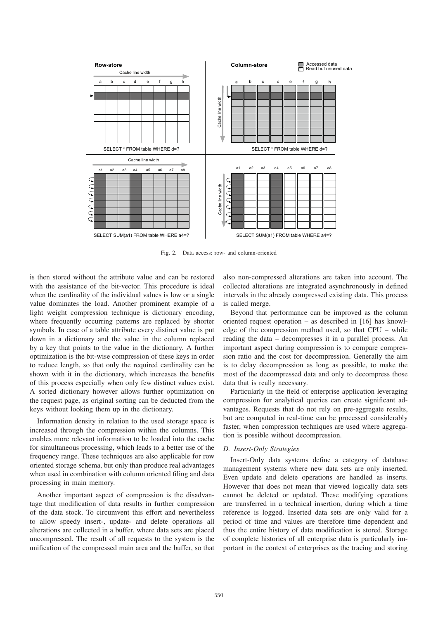

Fig. 2. Data access: row- and column-oriented

is then stored without the attribute value and can be restored with the assistance of the bit-vector. This procedure is ideal when the cardinality of the individual values is low or a single value dominates the load. Another prominent example of a light weight compression technique is dictionary encoding, where frequently occurring patterns are replaced by shorter symbols. In case of a table attribute every distinct value is put down in a dictionary and the value in the column replaced by a key that points to the value in the dictionary. A further optimization is the bit-wise compression of these keys in order to reduce length, so that only the required cardinality can be shown with it in the dictionary, which increases the benefits of this process especially when only few distinct values exist. A sorted dictionary however allows further optimization on the request page, as original sorting can be deducted from the keys without looking them up in the dictionary.

Information density in relation to the used storage space is increased through the compression within the columns. This enables more relevant information to be loaded into the cache for simultaneous processing, which leads to a better use of the frequency range. These techniques are also applicable for row oriented storage schema, but only than produce real advantages when used in combination with column oriented filing and data processing in main memory.

Another important aspect of compression is the disadvantage that modification of data results in further compression of the data stock. To circumvent this effort and nevertheless to allow speedy insert-, update- and delete operations all alterations are collected in a buffer, where data sets are placed uncompressed. The result of all requests to the system is the unification of the compressed main area and the buffer, so that also non-compressed alterations are taken into account. The collected alterations are integrated asynchronously in defined intervals in the already compressed existing data. This process is called merge.

Beyond that performance can be improved as the column oriented request operation – as described in [16] has knowledge of the compression method used, so that CPU – while reading the data – decompresses it in a parallel process. An important aspect during compression is to compare compression ratio and the cost for decompression. Generally the aim is to delay decompression as long as possible, to make the most of the decompressed data and only to decompress those data that is really necessary.

Particularly in the field of enterprise application leveraging compression for analytical queries can create significant advantages. Requests that do not rely on pre-aggregate results, but are computed in real-time can be processed considerably faster, when compression techniques are used where aggregation is possible without decompression.

#### *D. Insert-Only Strategies*

Insert-Only data systems define a category of database management systems where new data sets are only inserted. Even update and delete operations are handled as inserts. However that does not mean that viewed logically data sets cannot be deleted or updated. These modifying operations are transferred in a technical insertion, during which a time reference is logged. Inserted data sets are only valid for a period of time and values are therefore time dependent and thus the entire history of data modification is stored. Storage of complete histories of all enterprise data is particularly important in the context of enterprises as the tracing and storing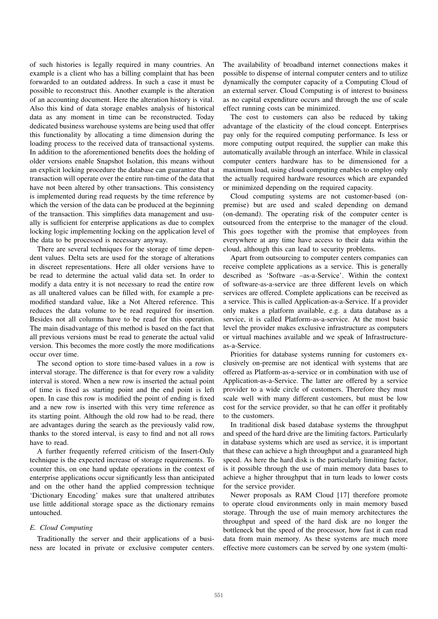of such histories is legally required in many countries. An example is a client who has a billing complaint that has been forwarded to an outdated address. In such a case it must be possible to reconstruct this. Another example is the alteration of an accounting document. Here the alteration history is vital. Also this kind of data storage enables analysis of historical data as any moment in time can be reconstructed. Today dedicated business warehouse systems are being used that offer this functionality by allocating a time dimension during the loading process to the received data of transactional systems. In addition to the aforementioned benefits does the holding of older versions enable Snapshot Isolation, this means without an explicit locking procedure the database can guarantee that a transaction will operate over the entire run-time of the data that have not been altered by other transactions. This consistency is implemented during read requests by the time reference by which the version of the data can be produced at the beginning of the transaction. This simplifies data management and usually is sufficient for enterprise applications as due to complex locking logic implementing locking on the application level of the data to be processed is necessary anyway.

There are several techniques for the storage of time dependent values. Delta sets are used for the storage of alterations in discreet representations. Here all older versions have to be read to determine the actual valid data set. In order to modify a data entry it is not necessary to read the entire row as all unaltered values can be filled with, for example a premodified standard value, like a Not Altered reference. This reduces the data volume to be read required for insertion. Besides not all columns have to be read for this operation. The main disadvantage of this method is based on the fact that all previous versions must be read to generate the actual valid version. This becomes the more costly the more modifications occur over time.

The second option to store time-based values in a row is interval storage. The difference is that for every row a validity interval is stored. When a new row is inserted the actual point of time is fixed as starting point and the end point is left open. In case this row is modified the point of ending is fixed and a new row is inserted with this very time reference as its starting point. Although the old row had to be read, there are advantages during the search as the previously valid row, thanks to the stored interval, is easy to find and not all rows have to read.

A further frequently referred criticism of the Insert-Only technique is the expected increase of storage requirements. To counter this, on one hand update operations in the context of enterprise applications occur significantly less than anticipated and on the other hand the applied compression technique 'Dictionary Encoding' makes sure that unaltered attributes use little additional storage space as the dictionary remains untouched.

## *E. Cloud Computing*

Traditionally the server and their applications of a business are located in private or exclusive computer centers. The availability of broadband internet connections makes it possible to dispense of internal computer centers and to utilize dynamically the computer capacity of a Computing Cloud of an external server. Cloud Computing is of interest to business as no capital expenditure occurs and through the use of scale effect running costs can be minimized.

The cost to customers can also be reduced by taking advantage of the elasticity of the cloud concept. Enterprises pay only for the required computing performance. Is less or more computing output required, the supplier can make this automatically available through an interface. While in classical computer centers hardware has to be dimensioned for a maximum load, using cloud computing enables to employ only the actually required hardware resources which are expanded or minimized depending on the required capacity.

Cloud computing systems are not customer-based (onpremise) but are used and scaled depending on demand (on-demand). The operating risk of the computer center is outsourced from the enterprise to the manager of the cloud. This goes together with the promise that employees from everywhere at any time have access to their data within the cloud, although this can lead to security problems.

Apart from outsourcing to computer centers companies can receive complete applications as a service. This is generally described as 'Software –as-a-Service'. Within the context of software-as-a-service are three different levels on which services are offered. Complete applications can be received as a service. This is called Application-as-a-Service. If a provider only makes a platform available, e.g. a data database as a service, it is called Platform-as-a-service. At the most basic level the provider makes exclusive infrastructure as computers or virtual machines available and we speak of Infrastructureas-a-Service.

Priorities for database systems running for customers exclusively on-premise are not identical with systems that are offered as Platform-as-a-service or in combination with use of Application-as-a-Service. The latter are offered by a service provider to a wide circle of customers. Therefore they must scale well with many different customers, but must be low cost for the service provider, so that he can offer it profitably to the customers.

In traditional disk based database systems the throughput and speed of the hard drive are the limiting factors. Particularly in database systems which are used as service, it is important that these can achieve a high throughput and a guaranteed high speed. As here the hard disk is the particularly limiting factor, is it possible through the use of main memory data bases to achieve a higher throughput that in turn leads to lower costs for the service provider.

Newer proposals as RAM Cloud [17] therefore promote to operate cloud environments only in main memory based storage. Through the use of main memory architectures the throughput and speed of the hard disk are no longer the bottleneck but the speed of the processor, how fast it can read data from main memory. As these systems are much more effective more customers can be served by one system (multi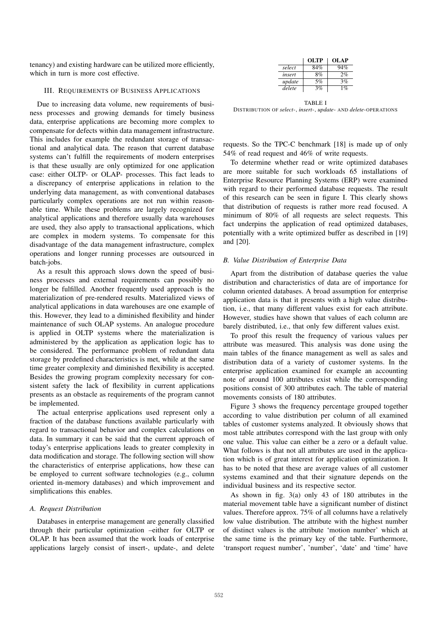tenancy) and existing hardware can be utilized more efficiently, which in turn is more cost effective.

## III. REQUIREMENTS OF BUSINESS APPLICATIONS

Due to increasing data volume, new requirements of business processes and growing demands for timely business data, enterprise applications are becoming more complex to compensate for defects within data management infrastructure. This includes for example the redundant storage of transactional and analytical data. The reason that current database systems can't fulfill the requirements of modern enterprises is that these usually are only optimized for one application case: either OLTP- or OLAP- processes. This fact leads to a discrepancy of enterprise applications in relation to the underlying data management, as with conventional databases particularly complex operations are not run within reasonable time. While these problems are largely recognized for analytical applications and therefore usually data warehouses are used, they also apply to transactional applications, which are complex in modern systems. To compensate for this disadvantage of the data management infrastructure, complex operations and longer running processes are outsourced in batch-jobs.

As a result this approach slows down the speed of business processes and external requirements can possibly no longer be fulfilled. Another frequently used approach is the materialization of pre-rendered results. Materialized views of analytical applications in data warehouses are one example of this. However, they lead to a diminished flexibility and hinder maintenance of such OLAP systems. An analogue procedure is applied in OLTP systems where the materialization is administered by the application as application logic has to be considered. The performance problem of redundant data storage by predefined characteristics is met, while at the same time greater complexity and diminished flexibility is accepted. Besides the growing program complexity necessary for consistent safety the lack of flexibility in current applications presents as an obstacle as requirements of the program cannot be implemented.

The actual enterprise applications used represent only a fraction of the database functions available particularly with regard to transactional behavior and complex calculations on data. In summary it can be said that the current approach of today's enterprise applications leads to greater complexity in data modification and storage. The following section will show the characteristics of enterprise applications, how these can be employed to current software technologies (e.g., column oriented in-memory databases) and which improvement and simplifications this enables.

#### *A. Request Distribution*

Databases in enterprise management are generally classified through their particular optimization –either for OLTP or OLAP. It has been assumed that the work loads of enterprise applications largely consist of insert-, update-, and delete

|        | OLTP | <b>OLAP</b> |
|--------|------|-------------|
| select | 84%  | 94%         |
| insert | 8%   | 2%          |
| update | 5%   | 3%          |
| delete | 3%   | $1\%$       |

TABLE I DISTRIBUTION OF *select*-, *insert*-, *update*- AND *delete*-OPERATIONS

requests. So the TPC-C benchmark [18] is made up of only 54% of read request and 46% of write requests.

To determine whether read or write optimized databases are more suitable for such workloads 65 installations of Enterprise Resource Planning Systems (ERP) were examined with regard to their performed database requests. The result of this research can be seen in figure I. This clearly shows that distribution of requests is rather more read focused. A minimum of 80% of all requests are select requests. This fact underpins the application of read optimized databases, potentially with a write optimized buffer as described in [19] and [20].

## *B. Value Distribution of Enterprise Data*

Apart from the distribution of database queries the value distribution and characteristics of data are of importance for column oriented databases. A broad assumption for enterprise application data is that it presents with a high value distribution, i.e., that many different values exist for each attribute. However, studies have shown that values of each column are barely distributed, i.e., that only few different values exist.

To proof this result the frequency of various values per attribute was measured. This analysis was done using the main tables of the finance management as well as sales and distribution data of a variety of customer systems. In the enterprise application examined for example an accounting note of around 100 attributes exist while the corresponding positions consist of 300 attributes each. The table of material movements consists of 180 attributes.

Figure 3 shows the frequency percentage grouped together according to value distribution per column of all examined tables of customer systems analyzed. It obviously shows that most table attributes correspond with the last group with only one value. This value can either be a zero or a default value. What follows is that not all attributes are used in the application which is of great interest for application optimization. It has to be noted that these are average values of all customer systems examined and that their signature depends on the individual business and its respective sector.

As shown in fig. 3(a) only 43 of 180 attributes in the material movement table have a significant number of distinct values. Therefore approx. 75% of all columns have a relatively low value distribution. The attribute with the highest number of distinct values is the attribute 'motion number' which at the same time is the primary key of the table. Furthermore, 'transport request number', 'number', 'date' and 'time' have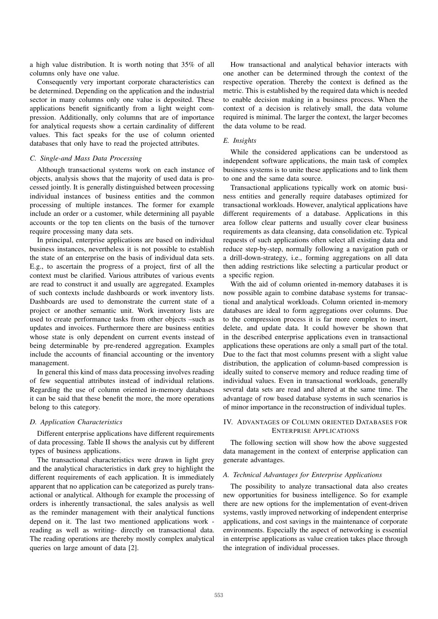a high value distribution. It is worth noting that 35% of all columns only have one value.

Consequently very important corporate characteristics can be determined. Depending on the application and the industrial sector in many columns only one value is deposited. These applications benefit significantly from a light weight compression. Additionally, only columns that are of importance for analytical requests show a certain cardinality of different values. This fact speaks for the use of column oriented databases that only have to read the projected attributes.

## *C. Single-and Mass Data Processing*

Although transactional systems work on each instance of objects, analysis shows that the majority of used data is processed jointly. It is generally distinguished between processing individual instances of business entities and the common processing of multiple instances. The former for example include an order or a customer, while determining all payable accounts or the top ten clients on the basis of the turnover require processing many data sets.

In principal, enterprise applications are based on individual business instances, nevertheless it is not possible to establish the state of an enterprise on the basis of individual data sets. E.g., to ascertain the progress of a project, first of all the context must be clarified. Various attributes of various events are read to construct it and usually are aggregated. Examples of such contexts include dashboards or work inventory lists. Dashboards are used to demonstrate the current state of a project or another semantic unit. Work inventory lists are used to create performance tasks from other objects –such as updates and invoices. Furthermore there are business entities whose state is only dependent on current events instead of being determinable by pre-rendered aggregation. Examples include the accounts of financial accounting or the inventory management.

In general this kind of mass data processing involves reading of few sequential attributes instead of individual relations. Regarding the use of column oriented in-memory databases it can be said that these benefit the more, the more operations belong to this category.

## *D. Application Characteristics*

Different enterprise applications have different requirements of data processing. Table II shows the analysis cut by different types of business applications.

The transactional characteristics were drawn in light grey and the analytical characteristics in dark grey to highlight the different requirements of each application. It is immediately apparent that no application can be categorized as purely transactional or analytical. Although for example the processing of orders is inherently transactional, the sales analysis as well as the reminder management with their analytical functions depend on it. The last two mentioned applications work reading as well as writing- directly on transactional data. The reading operations are thereby mostly complex analytical queries on large amount of data [2].

How transactional and analytical behavior interacts with one another can be determined through the context of the respective operation. Thereby the context is defined as the metric. This is established by the required data which is needed to enable decision making in a business process. When the context of a decision is relatively small, the data volume required is minimal. The larger the context, the larger becomes the data volume to be read.

## *E. Insights*

While the considered applications can be understood as independent software applications, the main task of complex business systems is to unite these applications and to link them to one and the same data source.

Transactional applications typically work on atomic business entities and generally require databases optimized for transactional workloads. However, analytical applications have different requirements of a database. Applications in this area follow clear patterns and usually cover clear business requirements as data cleansing, data consolidation etc. Typical requests of such applications often select all existing data and reduce step-by-step, normally following a navigation path or a drill-down-strategy, i.e., forming aggregations on all data then adding restrictions like selecting a particular product or a specific region.

With the aid of column oriented in-memory databases it is now possible again to combine database systems for transactional and analytical workloads. Column oriented in-memory databases are ideal to form aggregations over columns. Due to the compression process it is far more complex to insert, delete, and update data. It could however be shown that in the described enterprise applications even in transactional applications these operations are only a small part of the total. Due to the fact that most columns present with a slight value distribution, the application of column-based compression is ideally suited to conserve memory and reduce reading time of individual values. Even in transactional workloads, generally several data sets are read and altered at the same time. The advantage of row based database systems in such scenarios is of minor importance in the reconstruction of individual tuples.

## IV. ADVANTAGES OF COLUMN ORIENTED DATABASES FOR ENTERPRISE APPLICATIONS

The following section will show how the above suggested data management in the context of enterprise application can generate advantages.

#### *A. Technical Advantages for Enterprise Applications*

The possibility to analyze transactional data also creates new opportunities for business intelligence. So for example there are new options for the implementation of event-driven systems, vastly improved networking of independent enterprise applications, and cost savings in the maintenance of corporate environments. Especially the aspect of networking is essential in enterprise applications as value creation takes place through the integration of individual processes.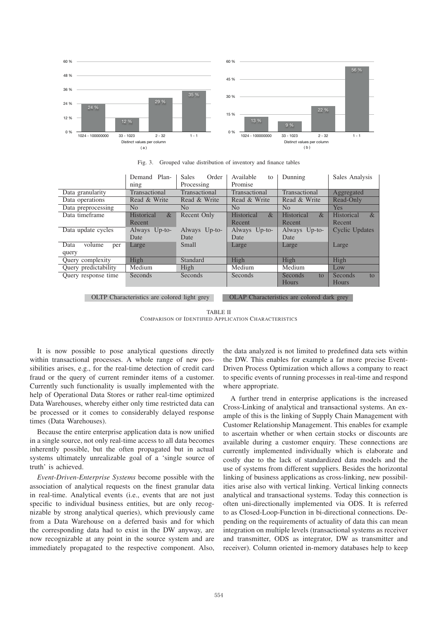

Fig. 3. Grouped value distribution of inventory and finance tables

|                       | Demand Plan-              | Order<br><b>Sales</b> | Available<br>to    | Dunning                 | Sales Analysis            |
|-----------------------|---------------------------|-----------------------|--------------------|-------------------------|---------------------------|
|                       | $n$ n $q$                 | Processing            | Promise            |                         |                           |
| Data granularity      | Transactional             | Transactional         | Transactional      | Transactional           | Aggregated                |
| Data operations       | Read & Write              | Read & Write          | Read & Write       | Read & Write            | Read-Only                 |
| Data preprocessing    | N <sub>o</sub>            | No.                   | No.                | N <sub>o</sub>          | Yes                       |
| Data timeframe        | <b>Historical</b><br>$\&$ | Recent Only           | Historical<br>$\&$ | Historical<br>$\&$      | $\&$<br>Historical        |
|                       | Recent                    |                       | Recent             | Recent                  | Recent                    |
| Data update cycles    | Always Up-to-             | Always Up-to-         | Always Up-to-      | Always Up-to-           | <b>Cyclic Updates</b>     |
|                       | Date                      | Date                  | Date               | Date                    |                           |
| volume<br>Data<br>per | Large                     | Small                 | Large              | Large                   | Large                     |
| query                 |                           |                       |                    |                         |                           |
| Query complexity      | High                      | <b>Standard</b>       | High               | High                    | High                      |
| Query predictability  | Medium                    | High                  | Medium             | Medium                  | Low                       |
| Ouery response time   | Seconds                   | Seconds               | Seconds            | Seconds<br>$\mathbf{f}$ | Seconds<br>$\mathfrak{g}$ |
|                       |                           |                       |                    | <b>Hours</b>            | Hours                     |
|                       |                           |                       |                    |                         |                           |

OLTP Characteristics are colored light grey OLAP Characteristics are colored dark grey

TABLE II

COMPARISON OF IDENTIFIED APPLICATION CHARACTERISTICS

It is now possible to pose analytical questions directly within transactional processes. A whole range of new possibilities arises, e.g., for the real-time detection of credit card fraud or the query of current reminder items of a customer. Currently such functionality is usually implemented with the help of Operational Data Stores or rather real-time optimized Data Warehouses, whereby either only time restricted data can be processed or it comes to considerably delayed response times (Data Warehouses).

Because the entire enterprise application data is now unified in a single source, not only real-time access to all data becomes inherently possible, but the often propagated but in actual systems ultimately unrealizable goal of a 'single source of truth' is achieved.

*Event-Driven-Enterprise Systems* become possible with the association of analytical requests on the finest granular data in real-time. Analytical events (i.e., events that are not just specific to individual business entities, but are only recognizable by strong analytical queries), which previously came from a Data Warehouse on a deferred basis and for which the corresponding data had to exist in the DW anyway, are now recognizable at any point in the source system and are immediately propagated to the respective component. Also, the data analyzed is not limited to predefined data sets within the DW. This enables for example a far more precise Event-Driven Process Optimization which allows a company to react to specific events of running processes in real-time and respond where appropriate.

A further trend in enterprise applications is the increased Cross-Linking of analytical and transactional systems. An example of this is the linking of Supply Chain Management with Customer Relationship Management. This enables for example to ascertain whether or when certain stocks or discounts are available during a customer enquiry. These connections are currently implemented individually which is elaborate and costly due to the lack of standardized data models and the use of systems from different suppliers. Besides the horizontal linking of business applications as cross-linking, new possibilities arise also with vertical linking. Vertical linking connects analytical and transactional systems. Today this connection is often uni-directionally implemented via ODS. It is referred to as Closed-Loop-Function in bi-directional connections. Depending on the requirements of actuality of data this can mean integration on multiple levels (transactional systems as receiver and transmitter, ODS as integrator, DW as transmitter and receiver). Column oriented in-memory databases help to keep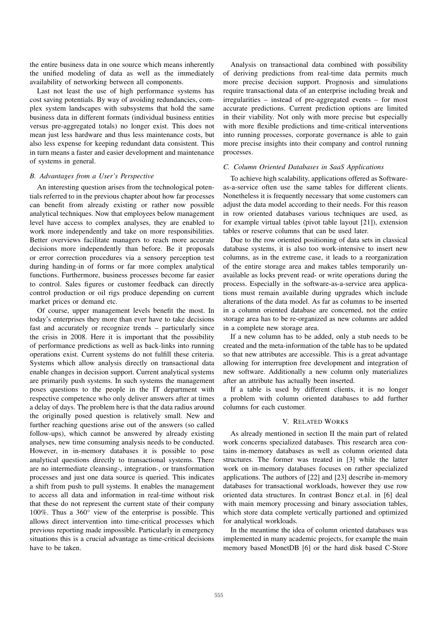the entire business data in one source which means inherently the unified modeling of data as well as the immediately availability of networking between all components.

Last not least the use of high performance systems has cost saving potentials. By way of avoiding redundancies, complex system landscapes with subsystems that hold the same business data in different formats (individual business entities versus pre-aggregated totals) no longer exist. This does not mean just less hardware and thus less maintenance costs, but also less expense for keeping redundant data consistent. This in turn means a faster and easier development and maintenance of systems in general.

#### *B. Advantages from a User's Perspective*

An interesting question arises from the technological potentials referred to in the previous chapter about how far processes can benefit from already existing or rather now possible analytical techniques. Now that employees below management level have access to complex analyses, they are enabled to work more independently and take on more responsibilities. Better overviews facilitate managers to reach more accurate decisions more independently than before. Be it proposals or error correction procedures via a sensory perception test during handing-in of forms or far more complex analytical functions. Furthermore, business processes become far easier to control. Sales figures or customer feedback can directly control production or oil rigs produce depending on current market prices or demand etc.

Of course, upper management levels benefit the most. In today's enterprises they more than ever have to take decisions fast and accurately or recognize trends – particularly since the crisis in 2008. Here it is important that the possibility of performance predictions as well as back-links into running operations exist. Current systems do not fulfill these criteria. Systems which allow analysis directly on transactional data enable changes in decision support. Current analytical systems are primarily push systems. In such systems the management poses questions to the people in the IT department with respective competence who only deliver answers after at times a delay of days. The problem here is that the data radius around the originally posed question is relatively small. New and further reaching questions arise out of the answers (so called follow-ups), which cannot be answered by already existing analyses, new time consuming analysis needs to be conducted. However, in in-memory databases it is possible to pose analytical questions directly to transactional systems. There are no intermediate cleansing-, integration-, or transformation processes and just one data source is queried. This indicates a shift from push to pull systems. It enables the management to access all data and information in real-time without risk that these do not represent the current state of their company 100%. Thus a 360◦ view of the enterprise is possible. This allows direct intervention into time-critical processes which previous reporting made impossible. Particularly in emergency situations this is a crucial advantage as time-critical decisions have to be taken.

Analysis on transactional data combined with possibility of deriving predictions from real-time data permits much more precise decision support. Prognosis and simulations require transactional data of an enterprise including break and irregularities – instead of pre-aggregated events – for most accurate predictions. Current prediction options are limited in their viability. Not only with more precise but especially with more flexible predictions and time-critical interventions into running processes, corporate governance is able to gain more precise insights into their company and control running processes.

#### *C. Column Oriented Databases in SaaS Applications*

To achieve high scalability, applications offered as Softwareas-a-service often use the same tables for different clients. Nonetheless it is frequently necessary that some customers can adjust the data model according to their needs. For this reason in row oriented databases various techniques are used, as for example virtual tables (pivot table layout [21]), extension tables or reserve columns that can be used later.

Due to the row oriented positioning of data sets in classical database systems, it is also too work-intensive to insert new columns, as in the extreme case, it leads to a reorganization of the entire storage area and makes tables temporarily unavailable as locks prevent read- or write operations during the process. Especially in the software-as-a-service area applications must remain available during upgrades which include alterations of the data model. As far as columns to be inserted in a column oriented database are concerned, not the entire storage area has to be re-organized as new columns are added in a complete new storage area.

If a new column has to be added, only a stub needs to be created and the meta-information of the table has to be updated so that new attributes are accessible. This is a great advantage allowing for interruption free development and integration of new software. Additionally a new column only materializes after an attribute has actually been inserted.

If a table is used by different clients, it is no longer a problem with column oriented databases to add further columns for each customer.

## V. RELATED WORKS

As already mentioned in section II the main part of related work concerns specialized databases. This research area contains in-memory databases as well as column oriented data structures. The former was treated in [3] while the latter work on in-memory databases focuses on rather specialized applications. The authors of [22] and [23] describe in-memory databases for transactional workloads, however they use row oriented data structures. In contrast Boncz et.al. in [6] deal with main memory processing and binary association tables, which store data complete vertically partioned and optimized for analytical workloads.

In the meantime the idea of column oriented databases was implemented in many academic projects, for example the main memory based MonetDB [6] or the hard disk based C-Store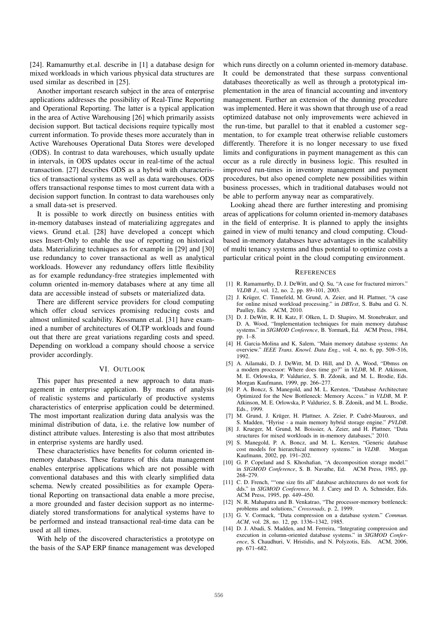[24]. Ramamurthy et.al. describe in [1] a database design for mixed workloads in which various physical data structures are used similar as described in [25].

Another important research subject in the area of enterprise applications addresses the possibility of Real-Time Reporting and Operational Reporting. The latter is a typical application in the area of Active Warehousing [26] which primarily assists decision support. But tactical decisions require typically most current information. To provide theses more accurately than in Active Warehouses Operational Data Stores were developed (ODS). In contrast to data warehouses, which usually update in intervals, in ODS updates occur in real-time of the actual transaction. [27] describes ODS as a hybrid with characteristics of transactional systems as well as data warehouses. ODS offers transactional response times to most current data with a decision support function. In contrast to data warehouses only a small data-set is preserved.

It is possible to work directly on business entities with in-memory databases instead of materializing aggregates and views. Grund et.al. [28] have developed a concept which uses Insert-Only to enable the use of reporting on historical data. Materializing techniques as for example in [29] and [30] use redundancy to cover transactional as well as analytical workloads. However any redundancy offers little flexibility as for example redundancy-free strategies implemented with column oriented in-memory databases where at any time all data are accessible instead of subsets or materialized data.

There are different service providers for cloud computing which offer cloud services promising reducing costs and almost unlimited scalability. Kossmann et.al. [31] have examined a number of architectures of OLTP workloads and found out that there are great variations regarding costs and speed. Depending on workload a company should choose a service provider accordingly.

#### VI. OUTLOOK

This paper has presented a new approach to data management in enterprise application. By means of analysis of realistic systems and particularly of productive systems characteristics of enterprise application could be determined. The most important realization during data analysis was the minimal distribution of data, i.e. the relative low number of distinct attribute values. Interesting is also that most attributes in enterprise systems are hardly used.

These characteristics have benefits for column oriented inmemory databases. These features of this data management enables enterprise applications which are not possible with conventional databases and this with clearly simplified data schema. Newly created possibilities as for example Operational Reporting on transactional data enable a more precise, a more grounded and faster decision support as no intermediately stored transformations for analytical systems have to be performed and instead transactional real-time data can be used at all times.

With help of the discovered characteristics a prototype on the basis of the SAP ERP finance management was developed

which runs directly on a column oriented in-memory database. It could be demonstrated that these surpass conventional databases theoretically as well as through a prototypical implementation in the area of financial accounting and inventory management. Further an extension of the dunning procedure was implemented. Here it was shown that through use of a read optimized database not only improvements were achieved in the run-time, but parallel to that it enabled a customer segmentation, to for example treat otherwise reliable customers differently. Therefore it is no longer necessary to use fixed limits and configurations in payment management as this can occur as a rule directly in business logic. This resulted in improved run-times in inventory management and payment procedures, but also opened complete new possibilities within business processes, which in traditional databases would not be able to perform anyway near as comparatively.

Looking ahead there are further interesting and promising areas of applications for column oriented in-memory databases in the field of enterprise. It is planned to apply the insights gained in view of multi tenancy and cloud computing. Cloudbased in-memory databases have advantages in the scalability of multi tenancy systems and thus potential to optimize costs a particular critical point in the cloud computing environment.

#### **REFERENCES**

- [1] R. Ramamurthy, D. J. DeWitt, and Q. Su, "A case for fractured mirrors." *VLDB J.*, vol. 12, no. 2, pp. 89-101, 2003.
- [2] J. Krüger, C. Tinnefeld, M. Grund, A. Zeier, and H. Plattner, "A case for online mixed workload processing." in *DBTest*, S. Babu and G. N. Paulley, Eds. ACM, 2010.
- [3] D. J. DeWitt, R. H. Katz, F. Olken, L. D. Shapiro, M. Stonebraker, and D. A. Wood, "Implementation techniques for main memory database systems." in *SIGMOD Conference*, B. Yormark, Ed. ACM Press, 1984, pp. 1–8.
- [4] H. Garcia-Molina and K. Salem, "Main memory database systems: An overview." *IEEE Trans. Knowl. Data Eng.*, vol. 4, no. 6, pp. 509–516, 1992.
- [5] A. Ailamaki, D. J. DeWitt, M. D. Hill, and D. A. Wood, "Dbmss on a modern processor: Where does time go?" in *VLDB*, M. P. Atkinson, M. E. Orlowska, P. Valduriez, S. B. Zdonik, and M. L. Brodie, Eds. Morgan Kaufmann, 1999, pp. 266–277.
- [6] P. A. Boncz, S. Manegold, and M. L. Kersten, "Database Architecture Optimized for the New Bottleneck: Memory Access." in *VLDB*, M. P. Atkinson, M. E. Orlowska, P. Valduriez, S. B. Zdonik, and M. L. Brodie, Eds., 1999.
- [7] M. Grund, J. Krüger, H. Plattner, A. Zeier, P. Cudré-Mauroux, and S. Madden, "Hyrise - a main memory hybrid storage engine." *PVLDB*.
- [8] J. Krueger, M. Grund, M. Boissier, A. Zeier, and H. Plattner, "Data structures for mixed workloads in in-memory databases," 2010.
- [9] S. Manegold, P. A. Boncz, and M. L. Kersten, "Generic database cost models for hierarchical memory systems." in *VLDB*. Morgan Kaufmann, 2002, pp. 191–202.
- [10] G. P. Copeland and S. Khoshafian, "A decomposition storage model." in *SIGMOD Conference*, S. B. Navathe, Ed. ACM Press, 1985, pp. 268–279.
- [11] C. D. French, ""one size fits all" database architectures do not work for dds." in *SIGMOD Conference*, M. J. Carey and D. A. Schneider, Eds. ACM Press, 1995, pp. 449–450.
- [12] N. R. Mahapatra and B. Venkatrao, "The processor-memory bottleneck: problems and solutions," *Crossroads*, p. 2, 1999.
- [13] G. V. Cormack, "Data compression on a database system." *Commun. ACM*, vol. 28, no. 12, pp. 1336–1342, 1985.
- [14] D. J. Abadi, S. Madden, and M. Ferreira, "Integrating compression and execution in column-oriented database systems." in *SIGMOD Conference*, S. Chaudhuri, V. Hristidis, and N. Polyzotis, Eds. ACM, 2006, pp. 671–682.